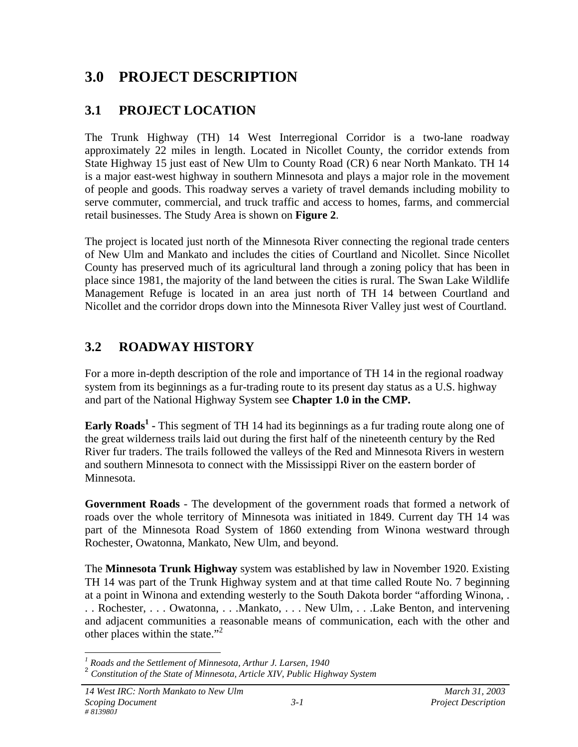### **3.0 PROJECT DESCRIPTION**

### **3.1 PROJECT LOCATION**

The Trunk Highway (TH) 14 West Interregional Corridor is a two-lane roadway approximately 22 miles in length. Located in Nicollet County, the corridor extends from State Highway 15 just east of New Ulm to County Road (CR) 6 near North Mankato. TH 14 is a major east-west highway in southern Minnesota and plays a major role in the movement of people and goods. This roadway serves a variety of travel demands including mobility to serve commuter, commercial, and truck traffic and access to homes, farms, and commercial retail businesses. The Study Area is shown on **Figure 2**.

The project is located just north of the Minnesota River connecting the regional trade centers of New Ulm and Mankato and includes the cities of Courtland and Nicollet. Since Nicollet County has preserved much of its agricultural land through a zoning policy that has been in place since 1981, the majority of the land between the cities is rural. The Swan Lake Wildlife Management Refuge is located in an area just north of TH 14 between Courtland and Nicollet and the corridor drops down into the Minnesota River Valley just west of Courtland.

#### **3.2 ROADWAY HISTORY**

For a more in-depth description of the role and importance of TH 14 in the regional roadway system from its beginnings as a fur-trading route to its present day status as a U.S. highway and part of the National Highway System see **Chapter 1.0 in the CMP.**

**Early Roads<sup>1</sup> -** This segment of TH 14 had its beginnings as a fur trading route along one of the great wilderness trails laid out during the first half of the nineteenth century by the Red River fur traders. The trails followed the valleys of the Red and Minnesota Rivers in western and southern Minnesota to connect with the Mississippi River on the eastern border of Minnesota.

**Government Roads** - The development of the government roads that formed a network of roads over the whole territory of Minnesota was initiated in 1849. Current day TH 14 was part of the Minnesota Road System of 1860 extending from Winona westward through Rochester, Owatonna, Mankato, New Ulm, and beyond.

The **Minnesota Trunk Highway** system was established by law in November 1920. Existing TH 14 was part of the Trunk Highway system and at that time called Route No. 7 beginning at a point in Winona and extending westerly to the South Dakota border "affording Winona, . . . Rochester, . . . Owatonna, . . .Mankato, . . . New Ulm, . . .Lake Benton, and intervening and adjacent communities a reasonable means of communication, each with the other and other places within the state."<sup>2</sup>

 *1 Roads and the Settlement of Minnesota, Arthur J. Larsen, 1940*

<sup>2</sup> *Constitution of the State of Minnesota, Article XIV, Public Highway System*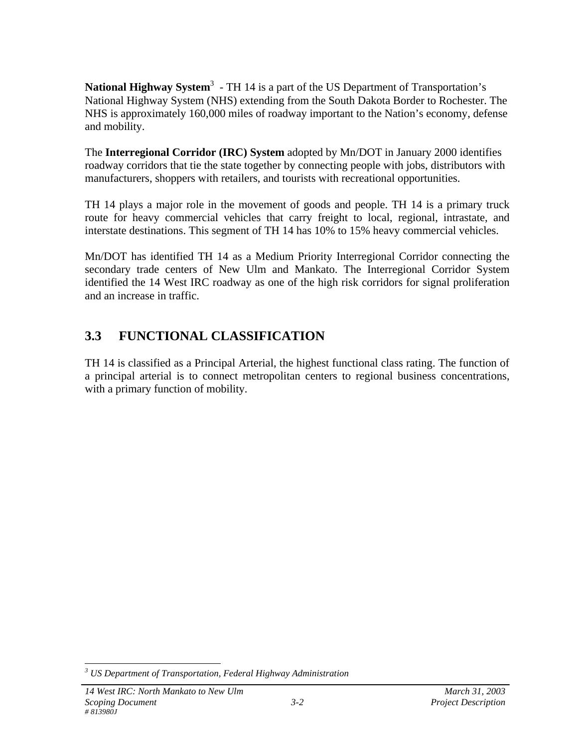National Highway System<sup>3</sup> - TH 14 is a part of the US Department of Transportation's National Highway System (NHS) extending from the South Dakota Border to Rochester. The NHS is approximately 160,000 miles of roadway important to the Nation's economy, defense and mobility.

The **Interregional Corridor (IRC) System** adopted by Mn/DOT in January 2000 identifies roadway corridors that tie the state together by connecting people with jobs, distributors with manufacturers, shoppers with retailers, and tourists with recreational opportunities.

TH 14 plays a major role in the movement of goods and people. TH 14 is a primary truck route for heavy commercial vehicles that carry freight to local, regional, intrastate, and interstate destinations. This segment of TH 14 has 10% to 15% heavy commercial vehicles.

Mn/DOT has identified TH 14 as a Medium Priority Interregional Corridor connecting the secondary trade centers of New Ulm and Mankato. The Interregional Corridor System identified the 14 West IRC roadway as one of the high risk corridors for signal proliferation and an increase in traffic.

#### **3.3 FUNCTIONAL CLASSIFICATION**

TH 14 is classified as a Principal Arterial, the highest functional class rating. The function of a principal arterial is to connect metropolitan centers to regional business concentrations, with a primary function of mobility.

 *3 US Department of Transportation, Federal Highway Administration*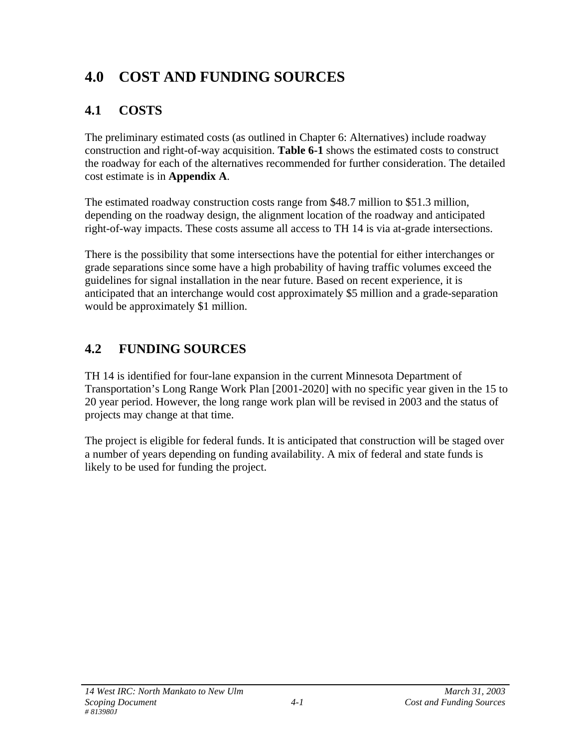# **4.0 COST AND FUNDING SOURCES**

# **4.1 COSTS**

The preliminary estimated costs (as outlined in Chapter 6: Alternatives) include roadway construction and right-of-way acquisition. **Table 6-1** shows the estimated costs to construct the roadway for each of the alternatives recommended for further consideration. The detailed cost estimate is in **Appendix A**.

The estimated roadway construction costs range from \$48.7 million to \$51.3 million, depending on the roadway design, the alignment location of the roadway and anticipated right-of-way impacts. These costs assume all access to TH 14 is via at-grade intersections.

There is the possibility that some intersections have the potential for either interchanges or grade separations since some have a high probability of having traffic volumes exceed the guidelines for signal installation in the near future. Based on recent experience, it is anticipated that an interchange would cost approximately \$5 million and a grade-separation would be approximately \$1 million.

# **4.2 FUNDING SOURCES**

TH 14 is identified for four-lane expansion in the current Minnesota Department of Transportation's Long Range Work Plan [2001-2020] with no specific year given in the 15 to 20 year period. However, the long range work plan will be revised in 2003 and the status of projects may change at that time.

The project is eligible for federal funds. It is anticipated that construction will be staged over a number of years depending on funding availability. A mix of federal and state funds is likely to be used for funding the project.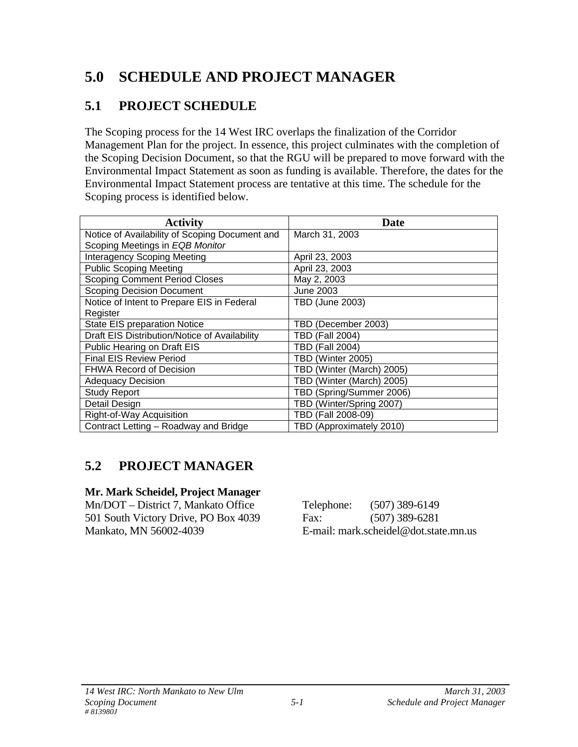# **5.0 SCHEDULE AND PROJECT MANAGER**

#### **5.1 PROJECT SCHEDULE**

The Scoping process for the 14 West IRC overlaps the finalization of the Corridor Management Plan for the project. In essence, this project culminates with the completion of the Scoping Decision Document, so that the RGU will be prepared to move forward with the Environmental Impact Statement as soon as funding is available. Therefore, the dates for the Environmental Impact Statement process are tentative at this time. The schedule for the Scoping process is identified below.

| <b>Activity</b>                                | Date                      |
|------------------------------------------------|---------------------------|
| Notice of Availability of Scoping Document and | March 31, 2003            |
| Scoping Meetings in EQB Monitor                |                           |
| <b>Interagency Scoping Meeting</b>             | April 23, 2003            |
| <b>Public Scoping Meeting</b>                  | April 23, 2003            |
| <b>Scoping Comment Period Closes</b>           | May 2, 2003               |
| <b>Scoping Decision Document</b>               | June 2003                 |
| Notice of Intent to Prepare EIS in Federal     | <b>TBD (June 2003)</b>    |
| Register                                       |                           |
| State EIS preparation Notice                   | TBD (December 2003)       |
| Draft EIS Distribution/Notice of Availability  | TBD (Fall 2004)           |
| Public Hearing on Draft EIS                    | TBD (Fall 2004)           |
| <b>Final EIS Review Period</b>                 | TBD (Winter 2005)         |
| <b>FHWA Record of Decision</b>                 | TBD (Winter (March) 2005) |
| <b>Adequacy Decision</b>                       | TBD (Winter (March) 2005) |
| <b>Study Report</b>                            | TBD (Spring/Summer 2006)  |
| Detail Design                                  | TBD (Winter/Spring 2007)  |
| Right-of-Way Acquisition                       | TBD (Fall 2008-09)        |
| Contract Letting - Roadway and Bridge          | TBD (Approximately 2010)  |

### **5.2 PROJECT MANAGER**

#### **Mr. Mark Scheidel, Project Manager**

Mn/DOT – District 7, Mankato Office 501 South Victory Drive, PO Box 4039 Mankato, MN 56002-4039

| Telephone: | $(507)$ 389-6149                      |
|------------|---------------------------------------|
| Fax:       | $(507)$ 389-6281                      |
|            | E-mail: mark.scheidel@dot.state.mn.us |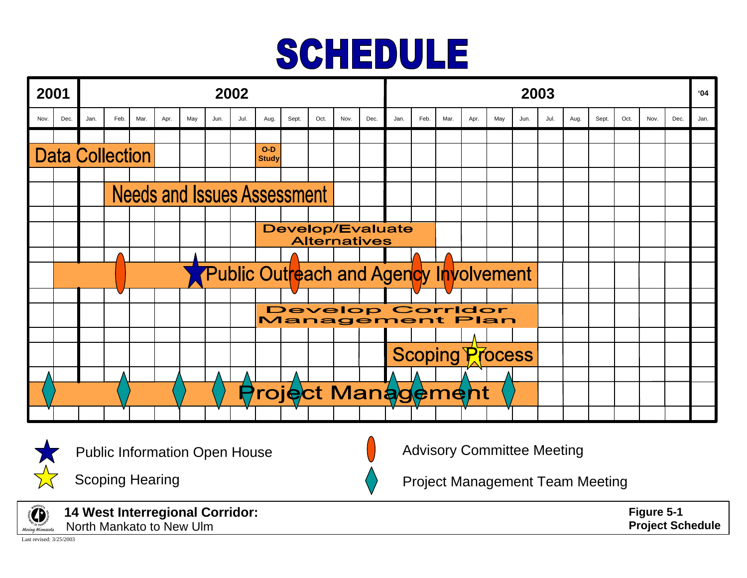# SCHEDULE





Public Information Open House

Scoping Hearing

Advisory Committee Meeting

Project Management Team Meeting



**14 West Interregional Corridor:** North Mankato to New Ulm

Last revised: 3/25/2003